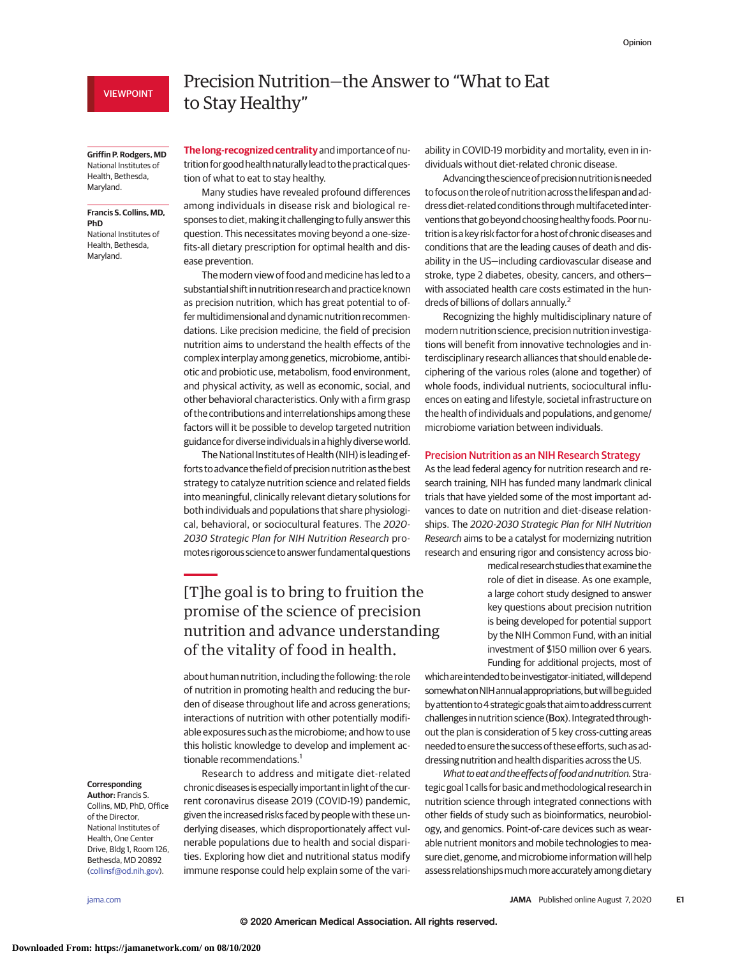## VIEWPOINT

**Griffin P. Rodgers, MD** National Institutes of Health, Bethesda, Maryland.

### **Francis S. Collins, MD, PhD** National Institutes of

Health, Bethesda, Maryland.

# Precision Nutrition—the Answer to "What to Eat to Stay Healthy"

**The long-recognized centrality** and importance of nutrition for good health naturally lead to the practical question of what to eat to stay healthy.

Many studies have revealed profound differences among individuals in disease risk and biological responses to diet, making it challenging to fully answer this question. This necessitates moving beyond a one-sizefits-all dietary prescription for optimal health and disease prevention.

The modern view of food and medicine has led to a substantial shift in nutrition research and practice known as precision nutrition, which has great potential to offermultidimensional and dynamic nutrition recommendations. Like precision medicine, the field of precision nutrition aims to understand the health effects of the complex interplay among genetics, microbiome, antibiotic and probiotic use, metabolism, food environment, and physical activity, as well as economic, social, and other behavioral characteristics. Only with a firm grasp of the contributions and interrelationships among these factors will it be possible to develop targeted nutrition guidance for diverse individuals in a highly diverseworld.

The National Institutes of Health (NIH) is leading efforts to advance the field of precision nutrition as the best strategy to catalyze nutrition science and related fields into meaningful, clinically relevant dietary solutions for both individuals and populations that share physiological, behavioral, or sociocultural features. The 2020- 2030 Strategic Plan for NIH Nutrition Research promotes rigorous science to answer fundamental questions

# [T]he goal is to bring to fruition the promise of the science of precision nutrition and advance understanding of the vitality of food in health.

about human nutrition, including the following: the role of nutrition in promoting health and reducing the burden of disease throughout life and across generations; interactions of nutrition with other potentially modifiable exposures such as the microbiome; and how to use this holistic knowledge to develop and implement actionable recommendations.<sup>1</sup>

Research to address and mitigate diet-related chronic diseases isespecially important in light of the current coronavirus disease 2019 (COVID-19) pandemic, given the increased risks faced by people with these underlying diseases, which disproportionately affect vulnerable populations due to health and social disparities. Exploring how diet and nutritional status modify immune response could help explain some of the variability in COVID-19 morbidity and mortality, even in individuals without diet-related chronic disease.

Advancing the science of precision nutrition is needed to focus on the role of nutrition across the lifespan and address diet-related conditions through multifaceted interventions that go beyond choosing healthy foods. Poor nutrition is akey risk factor for a host of chronic diseases and conditions that are the leading causes of death and disability in the US—including cardiovascular disease and stroke, type 2 diabetes, obesity, cancers, and others with associated health care costs estimated in the hundreds of billions of dollars annually.2

Recognizing the highly multidisciplinary nature of modern nutrition science, precision nutrition investigations will benefit from innovative technologies and interdisciplinary research alliances that should enable deciphering of the various roles (alone and together) of whole foods, individual nutrients, sociocultural influences on eating and lifestyle, societal infrastructure on the health of individuals and populations, and genome/ microbiome variation between individuals.

## Precision Nutrition as an NIH Research Strategy

As the lead federal agency for nutrition research and research training, NIH has funded many landmark clinical trials that have yielded some of the most important advances to date on nutrition and diet-disease relationships. The 2020-2030 Strategic Plan for NIH Nutrition Research aims to be a catalyst for modernizing nutrition research and ensuring rigor and consistency across bio-

> medical researchstudies thatexamine the role of diet in disease. As one example, a large cohort study designed to answer key questions about precision nutrition is being developed for potential support by the NIH Common Fund, with an initial investment of \$150 million over 6 years. Funding for additional projects, most of

which are intended to be investigator-initiated, will depend somewhat on NIH annual appropriations, but will be guided by attention to 4 strategic goals that aim to address current challenges in nutrition science (Box). Integrated throughout the plan is consideration of 5 key cross-cutting areas needed toensure the success of theseefforts, suchasaddressing nutrition and health disparities across the US.

What to eat and the effects of food and nutrition. Strategic goal 1 calls for basic andmethodological research in nutrition science through integrated connections with other fields of study such as bioinformatics, neurobiology, and genomics. Point-of-care devices such as wearable nutrient monitors and mobile technologies to measure diet, genome, and microbiome information will help assess relationships much more accurately among dietary

## **Corresponding**

**Author:** Francis S. Collins, MD, PhD, Office of the Director, National Institutes of Health, One Center Drive, Bldg 1, Room 126, Bethesda, MD 20892 [\(collinsf@od.nih.gov\)](mailto:collinsf@od.nih.gov).